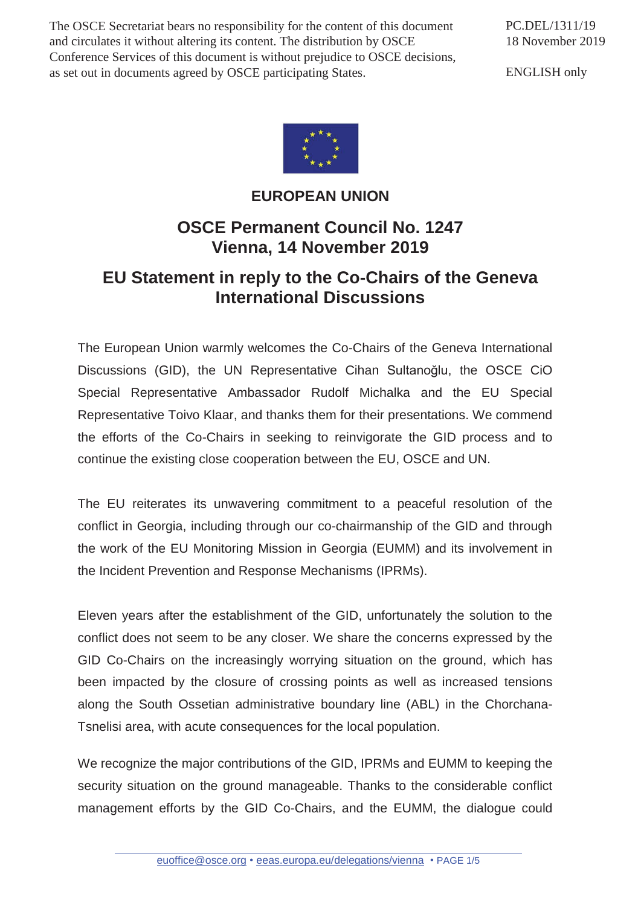The OSCE Secretariat bears no responsibility for the content of this document and circulates it without altering its content. The distribution by OSCE Conference Services of this document is without prejudice to OSCE decisions, as set out in documents agreed by OSCE participating States.

PC.DEL/1311/19 18 November 2019

ENGLISH only



## **EUROPEAN UNION**

## **OSCE Permanent Council No. 1247 Vienna, 14 November 2019**

## **EU Statement in reply to the Co-Chairs of the Geneva International Discussions**

The European Union warmly welcomes the Co-Chairs of the Geneva International Discussions (GID), the UN Representative Cihan Sultanoğlu, the OSCE CiO Special Representative Ambassador Rudolf Michalka and the EU Special Representative Toivo Klaar, and thanks them for their presentations. We commend the efforts of the Co-Chairs in seeking to reinvigorate the GID process and to continue the existing close cooperation between the EU, OSCE and UN.

The EU reiterates its unwavering commitment to a peaceful resolution of the conflict in Georgia, including through our co-chairmanship of the GID and through the work of the EU Monitoring Mission in Georgia (EUMM) and its involvement in the Incident Prevention and Response Mechanisms (IPRMs).

Eleven years after the establishment of the GID, unfortunately the solution to the conflict does not seem to be any closer. We share the concerns expressed by the GID Co-Chairs on the increasingly worrying situation on the ground, which has been impacted by the closure of crossing points as well as increased tensions along the South Ossetian administrative boundary line (ABL) in the Chorchana-Tsnelisi area, with acute consequences for the local population.

We recognize the major contributions of the GID, IPRMs and EUMM to keeping the security situation on the ground manageable. Thanks to the considerable conflict management efforts by the GID Co-Chairs, and the EUMM, the dialogue could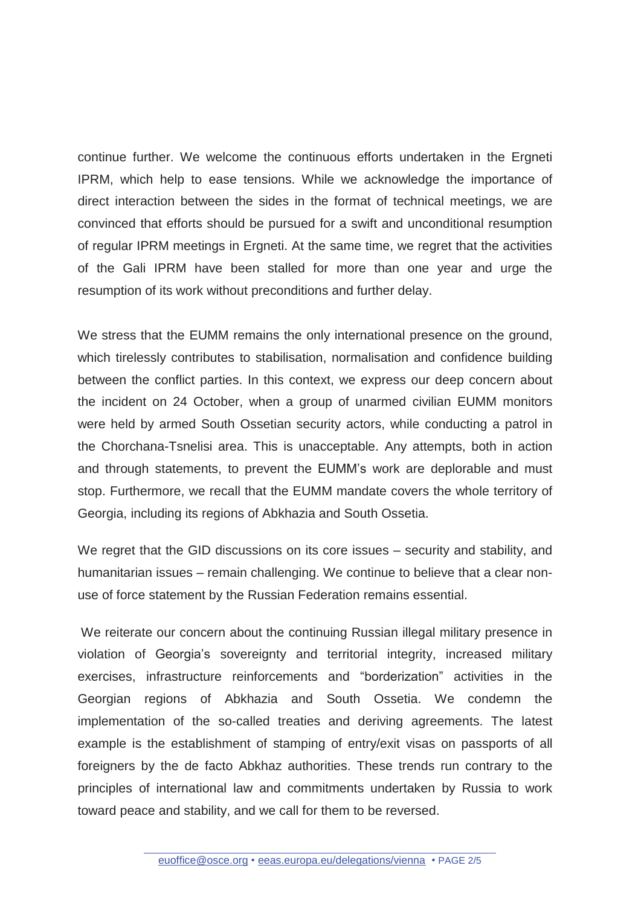continue further. We welcome the continuous efforts undertaken in the Ergneti IPRM, which help to ease tensions. While we acknowledge the importance of direct interaction between the sides in the format of technical meetings, we are convinced that efforts should be pursued for a swift and unconditional resumption of regular IPRM meetings in Ergneti. At the same time, we regret that the activities of the Gali IPRM have been stalled for more than one year and urge the resumption of its work without preconditions and further delay.

We stress that the EUMM remains the only international presence on the ground, which tirelessly contributes to stabilisation, normalisation and confidence building between the conflict parties. In this context, we express our deep concern about the incident on 24 October, when a group of unarmed civilian EUMM monitors were held by armed South Ossetian security actors, while conducting a patrol in the Chorchana-Tsnelisi area. This is unacceptable. Any attempts, both in action and through statements, to prevent the EUMM's work are deplorable and must stop. Furthermore, we recall that the EUMM mandate covers the whole territory of Georgia, including its regions of Abkhazia and South Ossetia.

We regret that the GID discussions on its core issues – security and stability, and humanitarian issues – remain challenging. We continue to believe that a clear nonuse of force statement by the Russian Federation remains essential.

 We reiterate our concern about the continuing Russian illegal military presence in violation of Georgia's sovereignty and territorial integrity, increased military exercises, infrastructure reinforcements and "borderization" activities in the Georgian regions of Abkhazia and South Ossetia. We condemn the implementation of the so-called treaties and deriving agreements. The latest example is the establishment of stamping of entry/exit visas on passports of all foreigners by the de facto Abkhaz authorities. These trends run contrary to the principles of international law and commitments undertaken by Russia to work toward peace and stability, and we call for them to be reversed.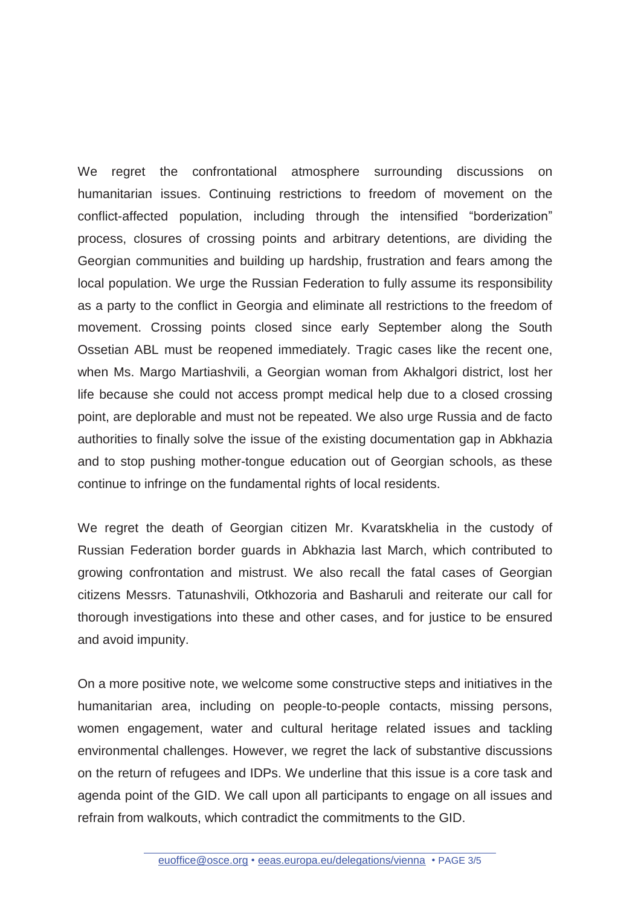We regret the confrontational atmosphere surrounding discussions on humanitarian issues. Continuing restrictions to freedom of movement on the conflict-affected population, including through the intensified "borderization" process, closures of crossing points and arbitrary detentions, are dividing the Georgian communities and building up hardship, frustration and fears among the local population. We urge the Russian Federation to fully assume its responsibility as a party to the conflict in Georgia and eliminate all restrictions to the freedom of movement. Crossing points closed since early September along the South Ossetian ABL must be reopened immediately. Tragic cases like the recent one, when Ms. Margo Martiashvili, a Georgian woman from Akhalgori district, lost her life because she could not access prompt medical help due to a closed crossing point, are deplorable and must not be repeated. We also urge Russia and de facto authorities to finally solve the issue of the existing documentation gap in Abkhazia and to stop pushing mother-tongue education out of Georgian schools, as these continue to infringe on the fundamental rights of local residents.

We regret the death of Georgian citizen Mr. Kvaratskhelia in the custody of Russian Federation border guards in Abkhazia last March, which contributed to growing confrontation and mistrust. We also recall the fatal cases of Georgian citizens Messrs. Tatunashvili, Otkhozoria and Basharuli and reiterate our call for thorough investigations into these and other cases, and for justice to be ensured and avoid impunity.

On a more positive note, we welcome some constructive steps and initiatives in the humanitarian area, including on people-to-people contacts, missing persons, women engagement, water and cultural heritage related issues and tackling environmental challenges. However, we regret the lack of substantive discussions on the return of refugees and IDPs. We underline that this issue is a core task and agenda point of the GID. We call upon all participants to engage on all issues and refrain from walkouts, which contradict the commitments to the GID.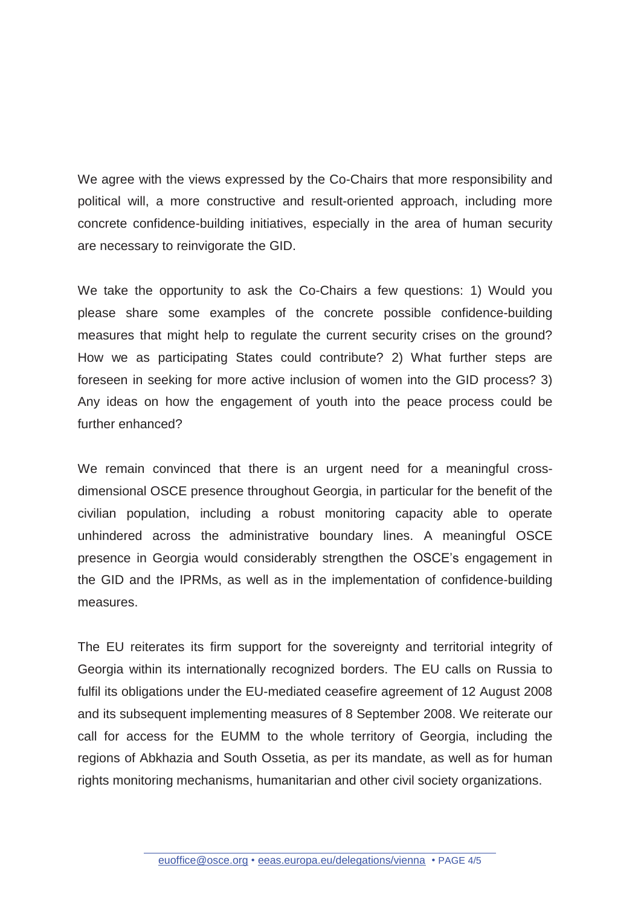We agree with the views expressed by the Co-Chairs that more responsibility and political will, a more constructive and result-oriented approach, including more concrete confidence-building initiatives, especially in the area of human security are necessary to reinvigorate the GID.

We take the opportunity to ask the Co-Chairs a few questions: 1) Would you please share some examples of the concrete possible confidence-building measures that might help to regulate the current security crises on the ground? How we as participating States could contribute? 2) What further steps are foreseen in seeking for more active inclusion of women into the GID process? 3) Any ideas on how the engagement of youth into the peace process could be further enhanced?

We remain convinced that there is an urgent need for a meaningful crossdimensional OSCE presence throughout Georgia, in particular for the benefit of the civilian population, including a robust monitoring capacity able to operate unhindered across the administrative boundary lines. A meaningful OSCE presence in Georgia would considerably strengthen the OSCE's engagement in the GID and the IPRMs, as well as in the implementation of confidence-building measures.

The EU reiterates its firm support for the sovereignty and territorial integrity of Georgia within its internationally recognized borders. The EU calls on Russia to fulfil its obligations under the EU-mediated ceasefire agreement of 12 August 2008 and its subsequent implementing measures of 8 September 2008. We reiterate our call for access for the EUMM to the whole territory of Georgia, including the regions of Abkhazia and South Ossetia, as per its mandate, as well as for human rights monitoring mechanisms, humanitarian and other civil society organizations.